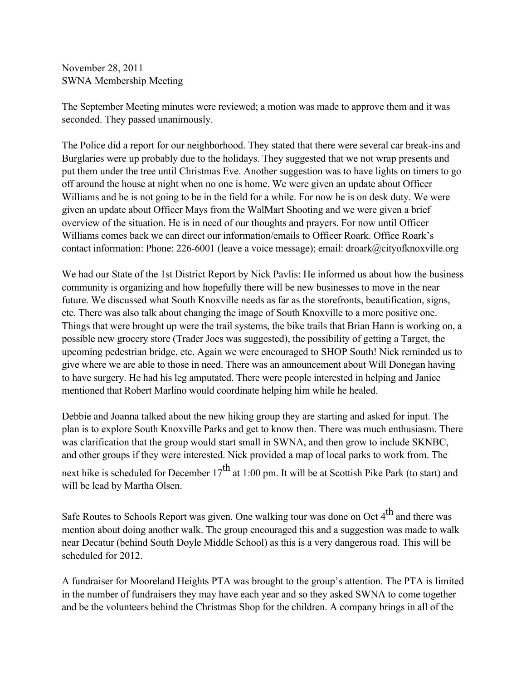November 28, 2011 SWNA Membership Meeting

The September Meeting minutes were reviewed; a motion was made to approve them and it was seconded. They passed unanimously.

The Police did a report for our neighborhood. They stated that there were several car break-ins and Burglaries were up probably due to the holidays. They suggested that we not wrap presents and put them under the tree until Christmas Eve. Another suggestion was to have lights on timers to go off around the house at night when no one is home. We were given an update about Officer Williams and he is not going to be in the field for a while. For now he is on desk duty. We were given an update about Officer Mays from the WalMart Shooting and we were given a brief overview of the situation. He is in need of our thoughts and prayers. For now until Officer Williams comes back we can direct our information/emails to Officer Roark. Office Roark's contact information: Phone: 226-6001 (leave a voice message); email: droark@cityofknoxville.org

We had our State of the 1st District Report by Nick Pavlis: He informed us about how the business community is organizing and how hopefully there will be new businesses to move in the near future. We discussed what South Knoxville needs as far as the storefronts, beautification, signs, etc. There was also talk about changing the image of South Knoxville to a more positive one. Things that were brought up were the trail systems, the bike trails that Brian Hann is working on, a possible new grocery store (Trader Joes was suggested), the possibility of getting a Target, the upcoming pedestrian bridge, etc. Again we were encouraged to SHOP South! Nick reminded us to give where we are able to those in need. There was an announcement about Will Donegan having to have surgery. He had his leg amputated. There were people interested in helping and Janice mentioned that Robert Marlino would coordinate helping him while he healed.

Debbie and Joanna talked about the new hiking group they are starting and asked for input. The plan is to explore South Knoxville Parks and get to know then. There was much enthusiasm. There was clarification that the group would start small in SWNA, and then grow to include SKNBC, and other groups if they were interested. Nick provided a map of local parks to work from. The

next hike is scheduled for December  $17<sup>th</sup>$  at 1:00 pm. It will be at Scottish Pike Park (to start) and will be lead by Martha Olsen.

Safe Routes to Schools Report was given. One walking tour was done on Oct 4<sup>th</sup> and there was mention about doing another walk. The group encouraged this and a suggestion was made to walk near Decatur (behind South Doyle Middle School) as this is a very dangerous road. This will be scheduled for 2012.

A fundraiser for Mooreland Heights PTA was brought to the group's attention. The PTA is limited in the number of fundraisers they may have each year and so they asked SWNA to come together and be the volunteers behind the Christmas Shop for the children. A company brings in all of the